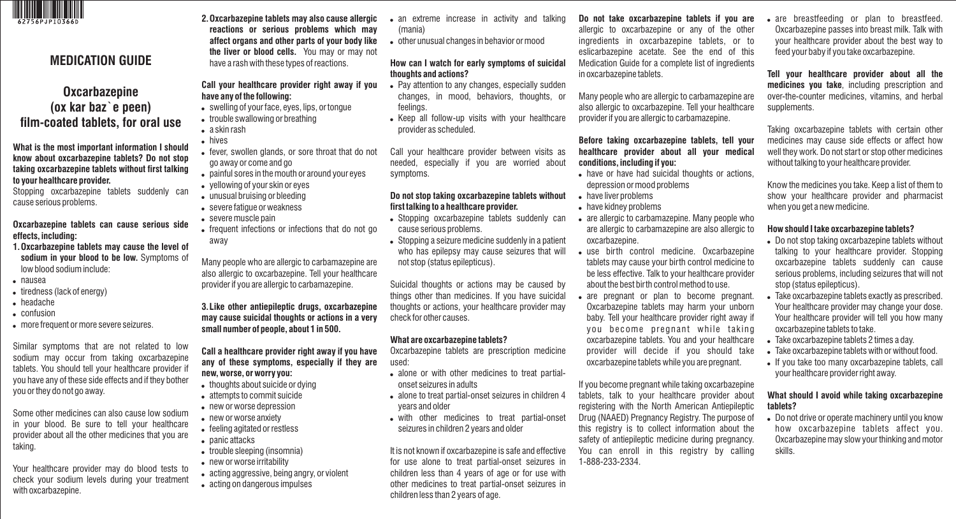

# **MEDICATION GUIDE**

# **Oxcarbazepine (ox kar baz`e peen) film-coated tablets, for oral use**

**What is the most important information I should know about oxcarbazepine tablets? Do not stop taking oxcarbazepine tablets without first talking to your healthcare provider.**

Stopping oxcarbazepine tablets suddenly can cause serious problems.

### **Oxcarbazepine tablets can cause serious side effects, including:**

- **1.Oxcarbazepine tablets may cause the level of sodium in your blood to be low.** Symptoms of low blood sodium include:
- nausea
- $\bullet$  tiredness (lack of energy)
- headache
- . confusion
- . more frequent or more severe seizures.

Similar symptoms that are not related to low sodium may occur from taking oxcarbazepine tablets. You should tell your healthcare provider if you have any of these side effects and if they bother you or they do not go away.

Some other medicines can also cause low sodium in your blood. Be sure to tell your healthcare provider about all the other medicines that you are taking.

Your healthcare provider may do blood tests to check your sodium levels during your treatment with oxcarbazepine.

**2.Oxcarbazepine tablets may also cause allergic reactions or serious problems which may affect organs and other parts of your body like the liver or blood cells.** You may or may not have a rash with these types of reactions.

**Call your healthcare provider right away if you have any of the following:** 

- swelling of your face, eyes, lips, or tongue
- trouble swallowing or breathing
- $\bullet$  a skin rash . hives
- fever, swollen glands, or sore throat that do not go away or come and go
- painful sores in the mouth or around your eyes
- yellowing of your skin or eyes
- unusual bruising or bleeding
- severe fatigue or weakness
- severe muscle pain
- frequent infections or infections that do not go away

Many people who are allergic to carbamazepine are also allergic to oxcarbazepine. Tell your healthcare provider if you are allergic to carbamazepine.

#### **3.Like other antiepileptic drugs, oxcarbazepine may cause suicidal thoughts or actions in a very small number of people, about 1 in 500.**

**Call a healthcare provider right away if you have any of these symptoms, especially if they are new, worse, or worry you:** 

- thoughts about suicide or dying
- attempts to commit suicide
- new or worse depression
- new or worse anxiety
- feeling agitated or restless
- panic attacks
- trouble sleeping (insomnia)
- new or worse irritability
- acting aggressive, being angry, or violent
- acting on dangerous impulses
- an extreme increase in activity and talking (mania)
- . other unusual changes in behavior or mood

# **How can I watch for early symptoms of suicidal thoughts and actions?**

- Pay attention to any changes, especially sudden changes, in mood, behaviors, thoughts, or feelings.
- Keep all follow-up visits with your healthcare provider as scheduled.

Call your healthcare provider between visits as needed, especially if you are worried about symptoms.

## **Do not stop taking oxcarbazepine tablets without first talking to a healthcare provider.**

- . Stopping oxcarbazepine tablets suddenly can cause serious problems.
- Stopping a seizure medicine suddenly in a patient who has epilepsy may cause seizures that will not stop (status epilepticus).

Suicidal thoughts or actions may be caused by things other than medicines. If you have suicidal thoughts or actions, your healthcare provider may check for other causes.

# **What are oxcarbazepine tablets?**

Oxcarbazepine tablets are prescription medicine used:

- alone or with other medicines to treat partialonset seizures in adults
- alone to treat partial-onset seizures in children 4 years and older
- . with other medicines to treat partial-onset seizures in children 2 years and older

It is not known if oxcarbazepine is safe and effective for use alone to treat partial-onset seizures in children less than 4 years of age or for use with other medicines to treat partial-onset seizures in children less than 2 years of age.

**Do not take oxcarbazepine tablets if you are** allergic to oxcarbazepine or any of the other ingredients in oxcarbazepine tablets, or to eslicarbazepine acetate. See the end of this Medication Guide for a complete list of ingredients in oxcarbazepine tablets.

Many people who are allergic to carbamazepine are also allergic to oxcarbazepine. Tell your healthcare provider if you are allergic to carbamazepine.

### **Before taking oxcarbazepine tablets, tell your healthcare provider about all your medical conditions, including if you:**

- have or have had suicidal thoughts or actions, depression or mood problems
- have liver problems
- have kidney problems
- are allergic to carbamazepine. Many people who are allergic to carbamazepine are also allergic to oxcarbazepine.
- use birth control medicine. Oxcarbazepine tablets may cause your birth control medicine to be less effective. Talk to your healthcare provider about the best birth control method to use.
- are pregnant or plan to become pregnant. Oxcarbazepine tablets may harm your unborn baby. Tell your healthcare provider right away if you become pregnant while taking oxcarbazepine tablets. You and your healthcare provider will decide if you should take oxcarbazepine tablets while you are pregnant.

If you become pregnant while taking oxcarbazepine tablets, talk to your healthcare provider about registering with the North American Antiepileptic Drug (NAAED) Pregnancy Registry. The purpose of this registry is to collect information about the safety of antiepileptic medicine during pregnancy. You can enroll in this registry by calling 1-888-233-2334.

• are breastfeeding or plan to breastfeed. Oxcarbazepine passes into breast milk. Talk with your healthcare provider about the best way to feed your baby if you take oxcarbazepine.

**Tell your healthcare provider about all the medicines you take**, including prescription and over-the-counter medicines, vitamins, and herbal supplements.

Taking oxcarbazepine tablets with certain other medicines may cause side effects or affect how well they work. Do not start or stop other medicines without talking to your healthcare provider.

Know the medicines you take. Keep a list of them to show your healthcare provider and pharmacist when you get a new medicine.

#### **How should I take oxcarbazepine tablets?**

- . Do not stop taking oxcarbazepine tablets without talking to your healthcare provider. Stopping oxcarbazepine tablets suddenly can cause serious problems, including seizures that will not stop (status epilepticus).
- . Take oxcarbazepine tablets exactly as prescribed. Your healthcare provider may change your dose. Your healthcare provider will tell you how many oxcarbazepine tablets to take.
- . Take oxcarbazepine tablets 2 times a day.
- . Take oxcarbazepine tablets with or without food.
- . If you take too many oxcarbazepine tablets, call your healthcare provider right away.

#### **What should I avoid while taking oxcarbazepine tablets?**

. Do not drive or operate machinery until you know how oxcarbazepine tablets affect you. Oxcarbazepine may slow your thinking and motor skills.